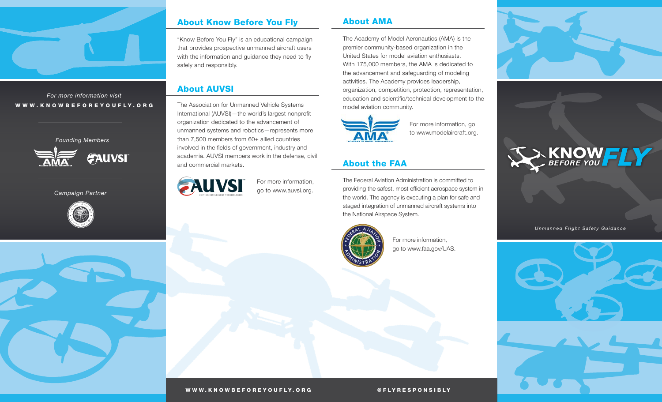

### For more information visit WWW.KNOWBEFOREYOUFLY.ORG



Founding Members

Campaign Partner



# About Know Before You Fly

"Know Before You Fly" is an educational campaign that provides prospective unmanned aircraft users with the information and guidance they need to fly safely and responsibly.

## About AUVSI

The Association for Unmanned Vehicle Systems International (AUVSI)—the world's largest nonprofit organization dedicated to the advancement of unmanned systems and robotics—represents more than 7,500 members from 60+ allied countries involved in the fields of government, industry and academia. AUVSI members work in the defense, civil and commercial markets.



For more information, go to www.auvsi.org.

## About AMA

The Academy of Model Aeronautics (AMA) is the premier community-based organization in the United States for model aviation enthusiasts. With 175,000 members, the AMA is dedicated to the advancement and safeguarding of modeling activities. The Academy provides leadership, organization, competition, protection, representation, education and scientific/technical development to the model aviation community.



For more information, go to www.modelaircraft.org.

## About the FAA

The Federal Aviation Administration is committed to providing the safest, most efficient aerospace system in the world. The agency is executing a plan for safe and staged integration of unmanned aircraft systems into the National Airspace System.



For more information, go to www.faa.gov/UAS.





Unmanned Flight Safety Guidance